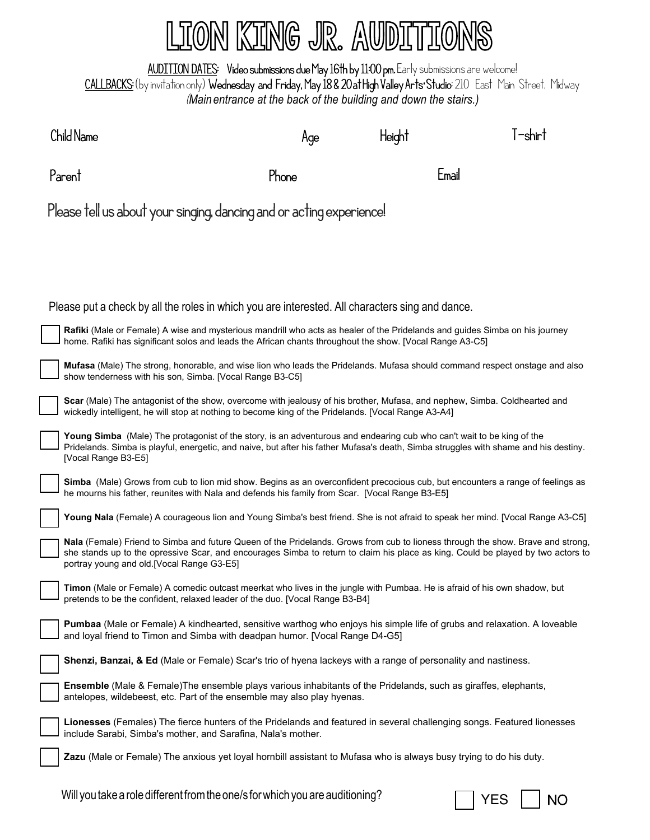## LION KING JR. AUDITIONS

AUDITION DATES: Video submissions due May 16th by 11:00 pm. Early submissions are welcome! CALLBACKS: (by invitation only) Wednesday and Friday, May 18 & 20 at High Valley Arts<sup>.</sup> Studio: 210 East Main Street, Midway (*Main entrance at the back of the building and down the stairs.)*

|                                                                                                                                                                                                                                  | Child Name                                                                                                                                                                                                                                                                                                       | Age   | Height | l-shirt |  |  |  |  |  |  |
|----------------------------------------------------------------------------------------------------------------------------------------------------------------------------------------------------------------------------------|------------------------------------------------------------------------------------------------------------------------------------------------------------------------------------------------------------------------------------------------------------------------------------------------------------------|-------|--------|---------|--|--|--|--|--|--|
|                                                                                                                                                                                                                                  | Parent                                                                                                                                                                                                                                                                                                           | Phone | Email  |         |  |  |  |  |  |  |
|                                                                                                                                                                                                                                  | Please tell us about your singing, dancing and or acting experience!                                                                                                                                                                                                                                             |       |        |         |  |  |  |  |  |  |
|                                                                                                                                                                                                                                  |                                                                                                                                                                                                                                                                                                                  |       |        |         |  |  |  |  |  |  |
|                                                                                                                                                                                                                                  |                                                                                                                                                                                                                                                                                                                  |       |        |         |  |  |  |  |  |  |
|                                                                                                                                                                                                                                  | Please put a check by all the roles in which you are interested. All characters sing and dance.                                                                                                                                                                                                                  |       |        |         |  |  |  |  |  |  |
|                                                                                                                                                                                                                                  | Rafiki (Male or Female) A wise and mysterious mandrill who acts as healer of the Pridelands and guides Simba on his journey<br>home. Rafiki has significant solos and leads the African chants throughout the show. [Vocal Range A3-C5]                                                                          |       |        |         |  |  |  |  |  |  |
|                                                                                                                                                                                                                                  | Mufasa (Male) The strong, honorable, and wise lion who leads the Pridelands. Mufasa should command respect onstage and also<br>show tenderness with his son, Simba. [Vocal Range B3-C5]                                                                                                                          |       |        |         |  |  |  |  |  |  |
| Scar (Male) The antagonist of the show, overcome with jealousy of his brother, Mufasa, and nephew, Simba. Coldhearted and<br>wickedly intelligent, he will stop at nothing to become king of the Pridelands. [Vocal Range A3-A4] |                                                                                                                                                                                                                                                                                                                  |       |        |         |  |  |  |  |  |  |
|                                                                                                                                                                                                                                  | Young Simba (Male) The protagonist of the story, is an adventurous and endearing cub who can't wait to be king of the<br>Pridelands. Simba is playful, energetic, and naive, but after his father Mufasa's death, Simba struggles with shame and his destiny.<br>[Vocal Range B3-E5]                             |       |        |         |  |  |  |  |  |  |
| Simba (Male) Grows from cub to lion mid show. Begins as an overconfident precocious cub, but encounters a range of feelings as<br>he mourns his father, reunites with Nala and defends his family from Scar. [Vocal Range B3-E5] |                                                                                                                                                                                                                                                                                                                  |       |        |         |  |  |  |  |  |  |
|                                                                                                                                                                                                                                  | Young Nala (Female) A courageous lion and Young Simba's best friend. She is not afraid to speak her mind. [Vocal Range A3-C5]                                                                                                                                                                                    |       |        |         |  |  |  |  |  |  |
|                                                                                                                                                                                                                                  | Nala (Female) Friend to Simba and future Queen of the Pridelands. Grows from cub to lioness through the show. Brave and strong,<br>she stands up to the opressive Scar, and encourages Simba to return to claim his place as king. Could be played by two actors to<br>portray young and old.[Vocal Range G3-E5] |       |        |         |  |  |  |  |  |  |
|                                                                                                                                                                                                                                  | Timon (Male or Female) A comedic outcast meerkat who lives in the jungle with Pumbaa. He is afraid of his own shadow, but<br>pretends to be the confident, relaxed leader of the duo. [Vocal Range B3-B4]                                                                                                        |       |        |         |  |  |  |  |  |  |
|                                                                                                                                                                                                                                  | Pumbaa (Male or Female) A kindhearted, sensitive warthog who enjoys his simple life of grubs and relaxation. A loveable<br>and loyal friend to Timon and Simba with deadpan humor. [Vocal Range D4-G5]                                                                                                           |       |        |         |  |  |  |  |  |  |
|                                                                                                                                                                                                                                  | Shenzi, Banzai, & Ed (Male or Female) Scar's trio of hyena lackeys with a range of personality and nastiness.                                                                                                                                                                                                    |       |        |         |  |  |  |  |  |  |
|                                                                                                                                                                                                                                  | Ensemble (Male & Female)The ensemble plays various inhabitants of the Pridelands, such as giraffes, elephants,<br>antelopes, wildebeest, etc. Part of the ensemble may also play hyenas.                                                                                                                         |       |        |         |  |  |  |  |  |  |
|                                                                                                                                                                                                                                  | Lionesses (Females) The fierce hunters of the Pridelands and featured in several challenging songs. Featured lionesses<br>include Sarabi, Simba's mother, and Sarafina, Nala's mother.                                                                                                                           |       |        |         |  |  |  |  |  |  |
|                                                                                                                                                                                                                                  | Zazu (Male or Female) The anxious yet loyal hornbill assistant to Mufasa who is always busy trying to do his duty.                                                                                                                                                                                               |       |        |         |  |  |  |  |  |  |

Will you take a role different from the one/s for which you are auditioning?  $\Box$  YES  $\Box$  NO